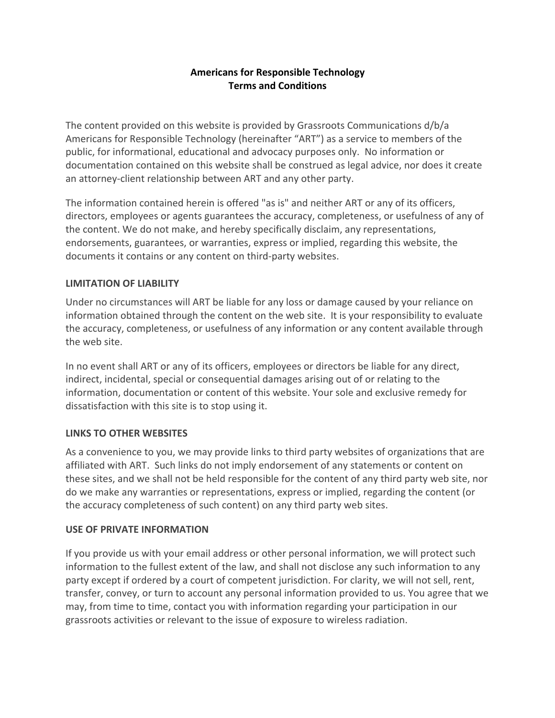## **Americans for Responsible Technology Terms and Conditions**

The content provided on this website is provided by Grassroots Communications d/b/a Americans for Responsible Technology (hereinafter "ART") as a service to members of the public, for informational, educational and advocacy purposes only. No information or documentation contained on this website shall be construed as legal advice, nor does it create an attorney-client relationship between ART and any other party.

The information contained herein is offered "as is" and neither ART or any of its officers, directors, employees or agents guarantees the accuracy, completeness, or usefulness of any of the content. We do not make, and hereby specifically disclaim, any representations, endorsements, guarantees, or warranties, express or implied, regarding this website, the documents it contains or any content on third-party websites.

## **LIMITATION OF LIABILITY**

Under no circumstances will ART be liable for any loss or damage caused by your reliance on information obtained through the content on the web site. It is your responsibility to evaluate the accuracy, completeness, or usefulness of any information or any content available through the web site.

In no event shall ART or any of its officers, employees or directors be liable for any direct, indirect, incidental, special or consequential damages arising out of or relating to the information, documentation or content of this website. Your sole and exclusive remedy for dissatisfaction with this site is to stop using it.

# **LINKS TO OTHER WEBSITES**

As a convenience to you, we may provide links to third party websites of organizations that are affiliated with ART. Such links do not imply endorsement of any statements or content on these sites, and we shall not be held responsible for the content of any third party web site, nor do we make any warranties or representations, express or implied, regarding the content (or the accuracy completeness of such content) on any third party web sites.

#### **USE OF PRIVATE INFORMATION**

If you provide us with your email address or other personal information, we will protect such information to the fullest extent of the law, and shall not disclose any such information to any party except if ordered by a court of competent jurisdiction. For clarity, we will not sell, rent, transfer, convey, or turn to account any personal information provided to us. You agree that we may, from time to time, contact you with information regarding your participation in our grassroots activities or relevant to the issue of exposure to wireless radiation.